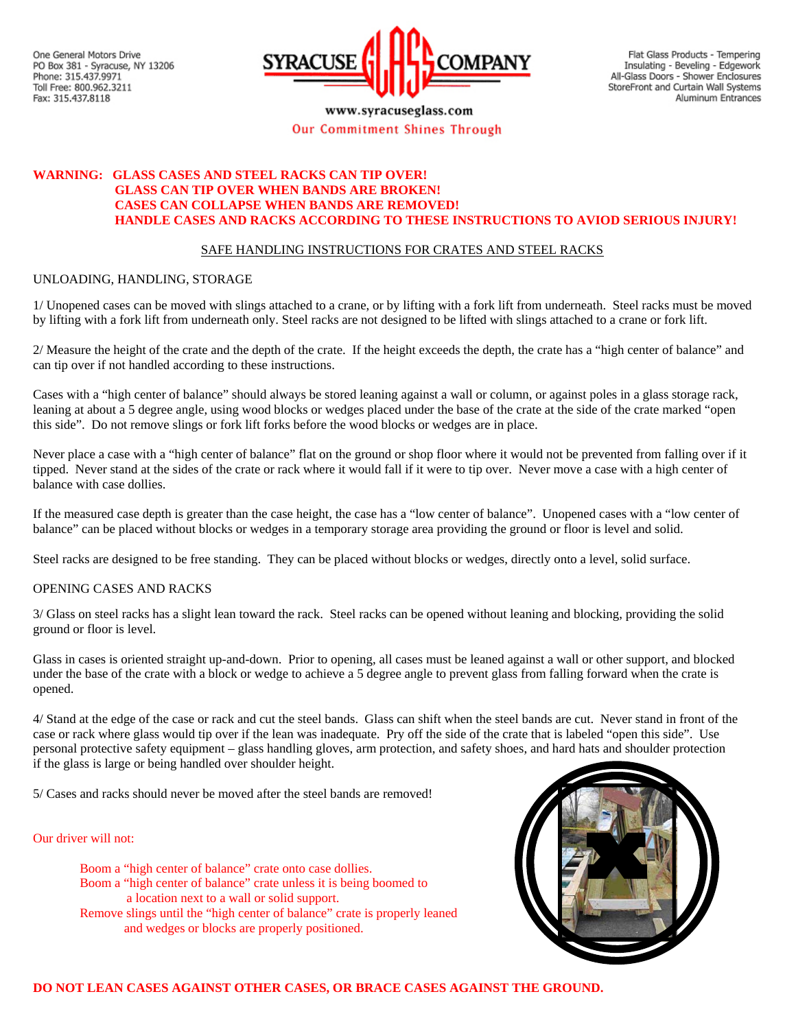One General Motors Drive PO Box 381 - Syracuse, NY 13206 Phone: 315.437.9971 Toll Free: 800.962.3211 Fax: 315.437.8118



www.syracuseglass.com Our Commitment Shines Through

Flat Glass Products - Tempering Insulating - Beveling - Edgework All-Glass Doors - Shower Enclosures StoreFront and Curtain Wall Systems Aluminum Entrances

# **WARNING: GLASS CASES AND STEEL RACKS CAN TIP OVER! GLASS CAN TIP OVER WHEN BANDS ARE BROKEN! CASES CAN COLLAPSE WHEN BANDS ARE REMOVED! HANDLE CASES AND RACKS ACCORDING TO THESE INSTRUCTIONS TO AVIOD SERIOUS INJURY!**

## SAFE HANDLING INSTRUCTIONS FOR CRATES AND STEEL RACKS

#### UNLOADING, HANDLING, STORAGE

1/ Unopened cases can be moved with slings attached to a crane, or by lifting with a fork lift from underneath. Steel racks must be moved by lifting with a fork lift from underneath only. Steel racks are not designed to be lifted with slings attached to a crane or fork lift.

2/ Measure the height of the crate and the depth of the crate. If the height exceeds the depth, the crate has a "high center of balance" and can tip over if not handled according to these instructions.

Cases with a "high center of balance" should always be stored leaning against a wall or column, or against poles in a glass storage rack, leaning at about a 5 degree angle, using wood blocks or wedges placed under the base of the crate at the side of the crate marked "open this side". Do not remove slings or fork lift forks before the wood blocks or wedges are in place.

Never place a case with a "high center of balance" flat on the ground or shop floor where it would not be prevented from falling over if it tipped. Never stand at the sides of the crate or rack where it would fall if it were to tip over. Never move a case with a high center of balance with case dollies.

If the measured case depth is greater than the case height, the case has a "low center of balance". Unopened cases with a "low center of balance" can be placed without blocks or wedges in a temporary storage area providing the ground or floor is level and solid.

Steel racks are designed to be free standing. They can be placed without blocks or wedges, directly onto a level, solid surface.

## OPENING CASES AND RACKS

3/ Glass on steel racks has a slight lean toward the rack. Steel racks can be opened without leaning and blocking, providing the solid ground or floor is level.

Glass in cases is oriented straight up-and-down. Prior to opening, all cases must be leaned against a wall or other support, and blocked under the base of the crate with a block or wedge to achieve a 5 degree angle to prevent glass from falling forward when the crate is opened.

4/ Stand at the edge of the case or rack and cut the steel bands. Glass can shift when the steel bands are cut. Never stand in front of the case or rack where glass would tip over if the lean was inadequate. Pry off the side of the crate that is labeled "open this side". Use personal protective safety equipment – glass handling gloves, arm protection, and safety shoes, and hard hats and shoulder protection if the glass is large or being handled over shoulder height.

5/ Cases and racks should never be moved after the steel bands are removed!

### Our driver will not:

 Boom a "high center of balance" crate onto case dollies. Boom a "high center of balance" crate unless it is being boomed to a location next to a wall or solid support. Remove slings until the "high center of balance" crate is properly leaned and wedges or blocks are properly positioned.